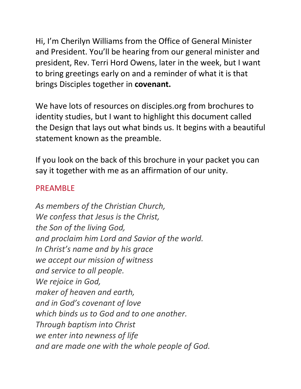Hi, I'm Cherilyn Williams from the Office of General Minister and President. You'll be hearing from our general minister and president, Rev. Terri Hord Owens, later in the week, but I want to bring greetings early on and a reminder of what it is that brings Disciples together in **covenant.**

We have lots of resources on disciples.org from brochures to identity studies, but I want to highlight this document called the Design that lays out what binds us. It begins with a beautiful statement known as the preamble.

If you look on the back of this brochure in your packet you can say it together with me as an affirmation of our unity.

## PREAMBLE

*As members of the Christian Church, We confess that Jesus is the Christ, the Son of the living God, and proclaim him Lord and Savior of the world. In Christ's name and by his grace we accept our mission of witness and service to all people. We rejoice in God, maker of heaven and earth, and in God's covenant of love which binds us to God and to one another. Through baptism into Christ we enter into newness of life and are made one with the whole people of God.*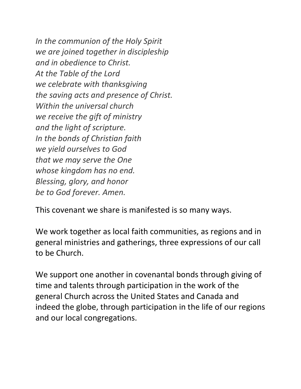*In the communion of the Holy Spirit we are joined together in discipleship and in obedience to Christ. At the Table of the Lord we celebrate with thanksgiving the saving acts and presence of Christ. Within the universal church we receive the gift of ministry and the light of scripture. In the bonds of Christian faith we yield ourselves to God that we may serve the One whose kingdom has no end. Blessing, glory, and honor be to God forever. Amen.*

This covenant we share is manifested is so many ways.

We work together as local faith communities, as regions and in general ministries and gatherings, three expressions of our call to be Church.

We support one another in covenantal bonds through giving of time and talents through participation in the work of the general Church across the United States and Canada and indeed the globe, through participation in the life of our regions and our local congregations.